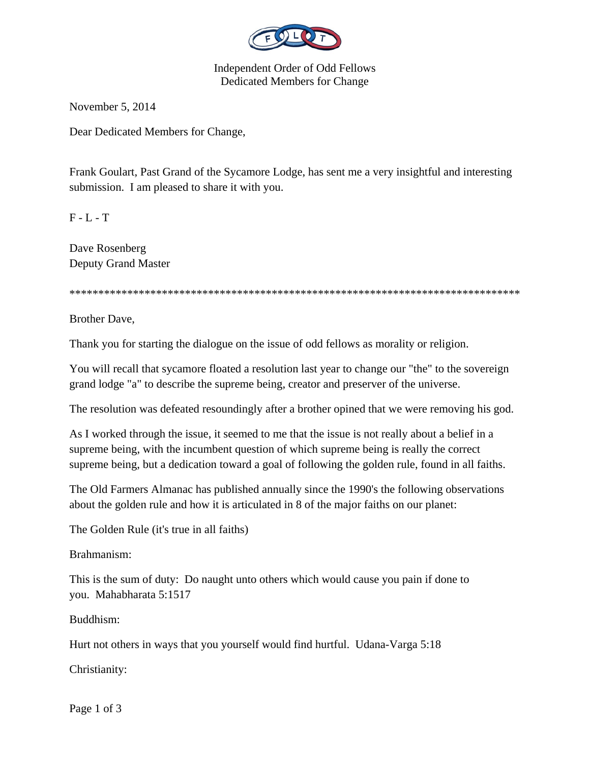

Independent Order of Odd Fellows Dedicated Members for Change

November 5, 2014

Dear Dedicated Members for Change,

Frank Goulart, Past Grand of the Sycamore Lodge, has sent me a very insightful and interesting submission. I am pleased to share it with you.

 $F - L - T$ 

Dave Rosenberg Deputy Grand Master

\*\*\*\*\*\*\*\*\*\*\*\*\*\*\*\*\*\*\*\*\*\*\*\*\*\*\*\*\*\*\*\*\*\*\*\*\*\*\*\*\*\*\*\*\*\*\*\*\*\*\*\*\*\*\*\*\*\*\*\*\*\*\*\*\*\*\*\*\*\*\*\*\*\*\*\*\*\*

Brother Dave,

Thank you for starting the dialogue on the issue of odd fellows as morality or religion.

You will recall that sycamore floated a resolution last year to change our "the" to the sovereign grand lodge "a" to describe the supreme being, creator and preserver of the universe.

The resolution was defeated resoundingly after a brother opined that we were removing his god.

As I worked through the issue, it seemed to me that the issue is not really about a belief in a supreme being, with the incumbent question of which supreme being is really the correct supreme being, but a dedication toward a goal of following the golden rule, found in all faiths.

The Old Farmers Almanac has published annually since the 1990's the following observations about the golden rule and how it is articulated in 8 of the major faiths on our planet:

The Golden Rule (it's true in all faiths)

Brahmanism:

This is the sum of duty: Do naught unto others which would cause you pain if done to you. Mahabharata 5:1517

Buddhism:

Hurt not others in ways that you yourself would find hurtful. Udana-Varga 5:18

Christianity:

Page 1 of 3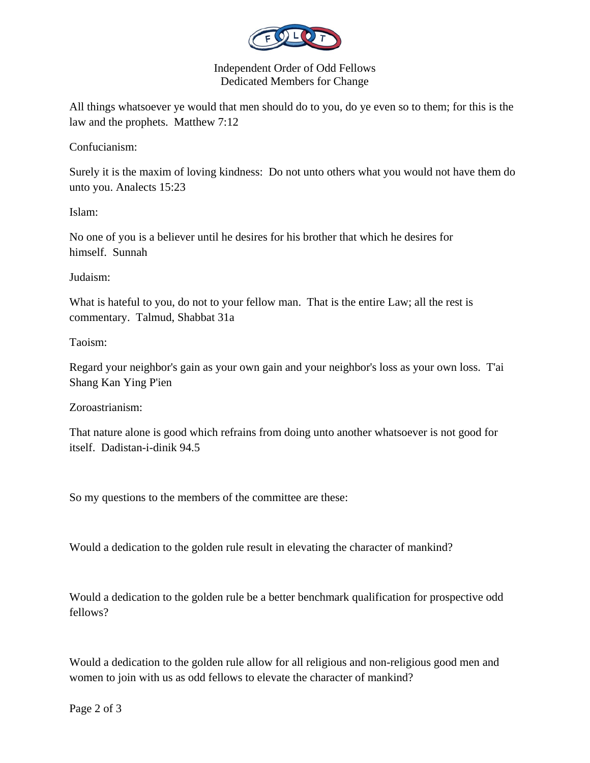

Independent Order of Odd Fellows Dedicated Members for Change

All things whatsoever ye would that men should do to you, do ye even so to them; for this is the law and the prophets. Matthew 7:12

Confucianism:

Surely it is the maxim of loving kindness: Do not unto others what you would not have them do unto you. Analects 15:23

Islam:

No one of you is a believer until he desires for his brother that which he desires for himself. Sunnah

Judaism:

What is hateful to you, do not to your fellow man. That is the entire Law; all the rest is commentary. Talmud, Shabbat 31a

Taoism:

Regard your neighbor's gain as your own gain and your neighbor's loss as your own loss. T'ai Shang Kan Ying P'ien

Zoroastrianism:

That nature alone is good which refrains from doing unto another whatsoever is not good for itself. Dadistan-i-dinik 94.5

So my questions to the members of the committee are these:

Would a dedication to the golden rule result in elevating the character of mankind?

Would a dedication to the golden rule be a better benchmark qualification for prospective odd fellows?

Would a dedication to the golden rule allow for all religious and non-religious good men and women to join with us as odd fellows to elevate the character of mankind?